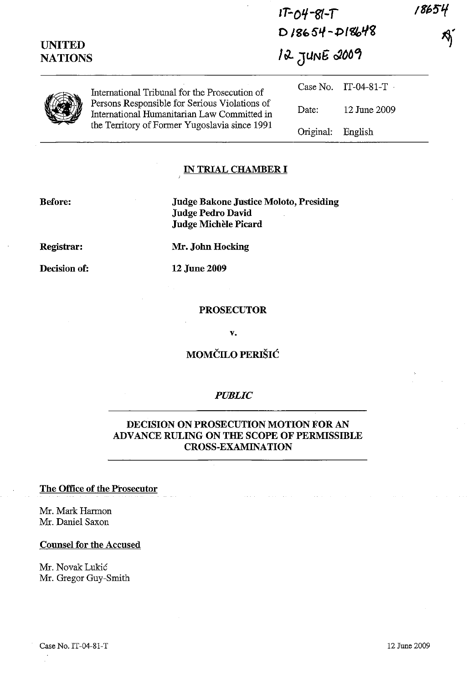| <b>UNITED</b><br><b>NATIONS</b> |              | $17 - 04 - 81 - 7$<br>$D18654 - D18648$<br>12 JUNE 2009 |  | 18654 |
|---------------------------------|--------------|---------------------------------------------------------|--|-------|
|                                 |              |                                                         |  |       |
| Date:                           | 12 June 2009 |                                                         |  |       |
| Original:                       | English      |                                                         |  |       |

# **IN TRIAL CHAMBER I**

**Before:** 

**Judge Bakone Justice Moloto, Presiding Judge Pedro David Judge Michele Picard** 

**Registrar:** 

**Mr. John Hocking** 

**Decision of:** 

12 June 2009

#### **PROSECUTOR**

v.

# **MOMČILO PERIŠIĆ**

### *PUBLIC*

# **DECISION ON PROSECUTION MOTION FOR AN ADVANCE RULING ON THE SCOPE OF PERMISSmLE CROSS-EXAMINATION**

#### **The Office of the Prosecutor**

Mr. Mark Harmon Mr. Daniel Saxon

#### **Counsel for the Accused**

Mr. Novak Lukic Mr. Gregor Guy-Smith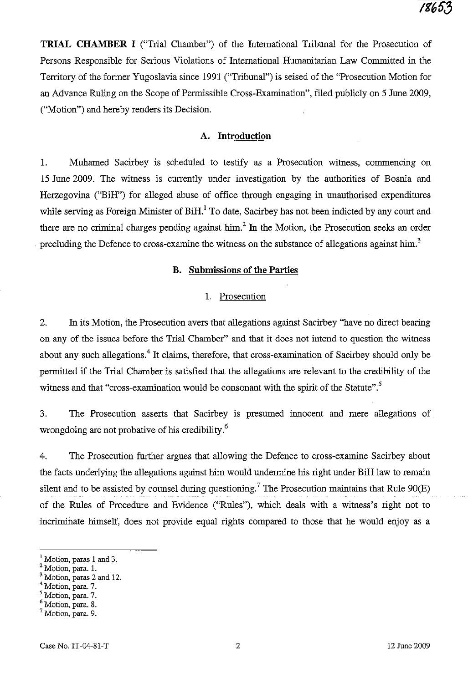TRIAL CHAMBER I ("Trial Chamber") of the International Tribunal for the Prosecution of Persons Responsible for Serious Violations of International Humanitarian Law Committed in the Territory of the former Yugoslavia since 1991 ("Tribunal") is seised of the "Prosecution Motion for an Advance Ruling on the Scope of Permissible Cross-Examination", filed publicly on 5 June 2009, ("Motion") and hereby renders its Decision.

# A. Introduction

1. Muhamed Sacirbey is scheduled to testify as a Prosecution witness, commencing on 15 June 2009. The witness is currently under investigation by the authorities of Bosnia and Herzegovina ("BiH") for alleged abuse of office through engaging in unauthorised expenditures while serving as Foreign Minister of  $BiH<sup>1</sup>$  To date, Sacirbey has not been indicted by any court and there are no criminal charges pending against him.<sup>2</sup> In the Motion, the Prosecution seeks an order . precluding the Defence to cross-examine the witness on the substance of allegations against him.<sup>3</sup>

# B. Submissions of the Parties

#### 1. Prosecution

2. In its Motion, the Prosecution avers that allegations against Sacirbey "have no direct bearing on any of the issues before the Trial Chamber" and that it does not intend to question the witness about any such allegations.<sup>4</sup> It claims, therefore, that cross-examination of Sacirbey should only be permitted if the Trial Chamber is satisfied that the allegations are relevant to the credibility of the witness and that "cross-examination would be consonant with the spirit of the Statute".<sup>5</sup>

3. The Prosecution asserts that Sacirbey is presumed innocent and mere allegations of wrongdoing are not probative of his credibility.<sup>6</sup>

4. The Prosecution further argues that allowing the Defence to cross-examine Sacirbey about the facts underlying the allegations against him would undermine his right under BiH law to remain silent and to be assisted by counsel during questioning.<sup>7</sup> The Prosecution maintains that Rule 90(E) of the Rules of Procedure and Evidence ("Rules"), which deals with a witness's right not to incriminate himself, does not provide equal rights compared to those that he would enjoy as a

<sup>&</sup>lt;sup>1</sup> Motion, paras 1 and 3.

<sup>&</sup>lt;sup>2</sup> Motion, para. 1.

Motion, paras 2 and 12.

Motion, para. 7.

Motion, para. 7.

<sup>6</sup> Motion, para. 8.

 $7$  Motion, para. 9.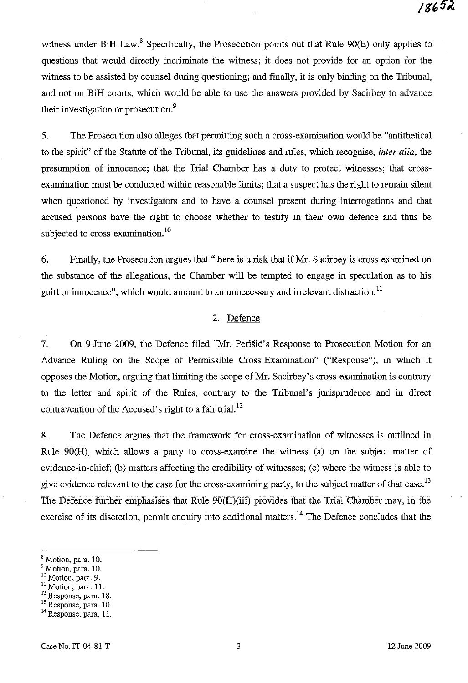witness under BiH Law.<sup>8</sup> Specifically, the Prosecution points out that Rule 90(E) only applies to questions that would directly incriminate the witness; it does not provide for an option for the witness to be assisted by counsel during questioning; and finally, it is only binding on the Tribunal, and not on BiH courts, which would be able to use the answers provided by Sacirbey to advance their investigation or prosecution.<sup>9</sup>

5. The Prosecution also alleges that permitting such a cross-examination would be "antithetical to the spirit" of the Statute of the Tribunal, its guidelines and rules, which recognise, *inter alia,* the presumption of innocence; that the Trial Chamber has a duty to protect witnesses; that crossexamination must be conducted within reasonable limits; that a suspect has the right to remain silent when questioned by investigators and to have a counsel present during interrogations and that accused persons have the right to choose whether to testify in their own defence and thus be subjected to cross-examination.<sup>10</sup>

6. Finally, the Prosecution argues that "there is a risk that if Mr. Sacirbey is cross-examined on the substance of the allegations, the Chamber will be tempted to engage in speculation as to his guilt or innocence", which would amount to an unnecessary and irrelevant distraction.<sup>11</sup>

# 2. Defence

7. On 9 June 2009, the Defence filed "Mr. Perisic's Response to Prosecution Motion for an Advance Ruling on the Scope of Permissible Cross-Examination" ("Response"), in which it opposes the Motion, arguing that limiting the scope of Mr. Sacirbey's cross-examination is contrary to the letter and spirit of the Rules, contrary to the Tribunal's jurisprudence and in direct contravention of the Accused's right to a fair trial.<sup>12</sup>

8. The Defence argues that the framework for cross-examination of witnesses is outlined in Rule 90(H), which allows a party to cross-examine the witness (a) on the subject matter of evidence-in-chief; (b) matters affecting the credibility of witnesses; (c) where the witness is able to give evidence relevant to the case for the cross-examining party, to the subject matter of that case.<sup>13</sup> Tbe Defence further emphasises that Rille 90(H)(iii) provides that the Trial Chamber may, in the exercise of its discretion, permit enquiry into additional matters.<sup>14</sup> The Defence concludes that the

- <sup>9</sup> Motion, para. 10.
- $10$  Motion, para. 9.

- 12 Response, para. 18.
- <sup>13</sup> Response, para. 10.

<sup>8</sup> Motion, para. 10.

<sup>&</sup>lt;sup>11</sup> Motion, para. 11.

<sup>&</sup>lt;sup>14</sup> Response, para. 11.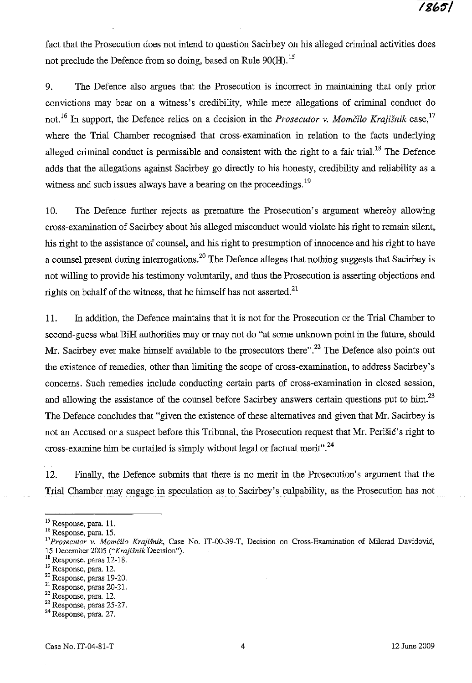fact that the Prosecution does not intend to question Sacirbey on his alleged criminal activities does not preclude the Defence from so doing, based on Rule 90(H).<sup>15</sup>

9. The Defence also argues that the Prosecution is incorrect in maintaining that only prior convictions may bear on a witness's credibility, while mere allegations of criminal conduct do not.<sup>16</sup> In support, the Defence relies on a decision in the *Prosecutor v. Momčilo Krajišnik* case,<sup>17</sup> where the Trial Chamber recognised that cross-examination in relation to the facts underlying alleged criminal conduct is permissible and consistent with the right to a fair trial.<sup>18</sup> The Defence adds that the allegations against Sacirbey go directly to his honesty, credibility and reliability as a witness and such issues always have a bearing on the proceedings.<sup>19</sup>

10. The Defence further rejects as premature the Prosecution's argument whereby allowing cross-examination of Sacirbey about his alleged misconduct would violate his right to remain silent, his right to the assistance of counsel, and his right to presumption of innocence and his right to have a counsel present during interrogations.<sup>20</sup> The Defence alleges that nothing suggests that Sacirbey is not willing to provide his testimony voluntarily, and thus the Prosecution is asserting objections and rights on behalf of the witness, that he himself has not asserted. $^{21}$ 

11. In addition, the Defence maintains that it is not for the Prosecution or the Trial Chamber to second-guess what BiH authorities mayor may not do "at some unknown point in the future, should Mr. Sacirbey ever make himself available to the prosecutors there".<sup>22</sup> The Defence also points out the existence of remedies, other than limiting the scope of cross-examination, to address Sacirbey's concerns. Such remedies include conducting certain parts of cross-examination in closed session, and allowing the assistance of the counsel before Sacirbey answers certain questions put to him.<sup>23</sup> The Defence concludes that "given the existence of these alternatives and given that Mr. Sacirbey is not an Accused or a suspect before this Tribunal, the Prosecution request that Mr. Perišić's right to cross-examine him be curtailed is simply without legal or factual merit".<sup>24</sup>

12. Finally, the Defence submits that there is no merit in the Prosecution's argument that the Trial Chamber may engage in speculation as to Sacirbey's culpability, as the Prosecution has not

<sup>15</sup> Response, para. II.

<sup>16</sup> Response, para. 15.

<sup>&</sup>lt;sup>17</sup>Prosecutor v. Momčilo Krajišnik, Case No. IT-00-39-T, Decision on Cross-Examination of Milorad Davidović, 15 December 2005 *("Krajisnik* Decision").

 $^{18}$  Response, paras 12-18.

<sup>19</sup> Response, para. 12.

<sup>&</sup>lt;sup>20</sup> Response, paras 19-20.

<sup>&</sup>lt;sup>21</sup> Response, paras 20-21.

<sup>&</sup>lt;sup>22</sup> Response, para. 12.

<sup>23</sup> Response, paras 25-27.

<sup>&</sup>lt;sup>24</sup> Response, para. 27.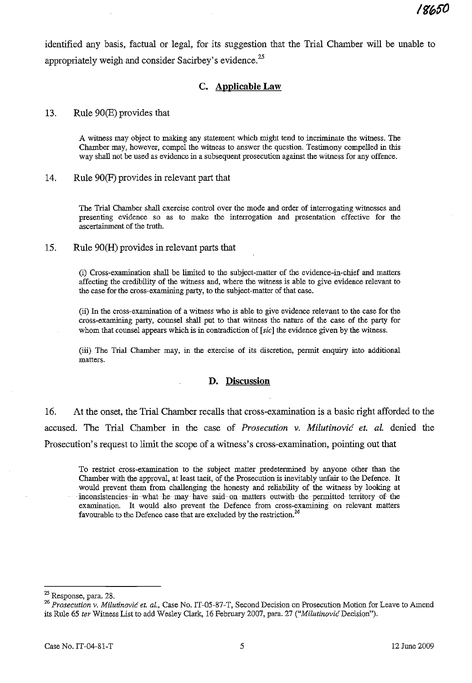identified any basis, factual or legal, for its suggestion that the Trial Chamber will be unable to appropriately weigh and consider Sacirbey's evidence.<sup>25</sup>

# C. **Applicable Law**

#### 13. Rule 90(E) provides that

A witness may object to making any statement which might tend to incriminate the witness. The Chamber may, however, compel the witness to answer the question. Testimony compelled in this way shall not be used as evidence in a subsequent prosecution against the witness for any offence.

#### 14. Rule 90(F) provides in relevant part that

The Trial Chamber shall exercise control over the mode and order of interrogating witnesses and **presenting evidence so as to make the interrogation and presentation effective for the**  ascertainment of the truth.

#### 15. Rule 90(H) provides in relevant parts that

(i) Cross-exantination shall be limited to the subject-matter of the evidence-in-chief and matters affecting the credibility of the witness and, where the witness is able to give evidence relevant to the case for the cross-examining party, to the subject-matter of that case.

(ii) In the cross-examination of a witness who is able to give evidence relevant to the case for the cross-exantining party, counsel shall put to that witness the natnre of the case of the party for whom that counsel appears which is in contradiction of *[sic]* the evidence given by the witness.

(iii) The Trial Chamber may, in the exercise of its discretion, permit enquiry into additional **matters.** 

# **D. Discussion**

16. At the onset, the Trial Chamber recalls that cross-examination is a basic right afforded to the accused. The Trial Chamber in the case of *Prosecution* v. *Milutinovic et. ai.* denied the Prosecution's request to limit the scope of a witness's cross-examination, pointing out that

To restrict cross-exantination to the subject matter predetermined by anyone other than the Chamber with the approval, at least tacit, of the Prosecution is inevitably unfair to the Defence. It would prevent them from challenging the honesty and reliability of the witness by looking at inconsistencies-in-what he may have said-on matters outwith the permitted territory of the **examination. It would also prevent the Defence from cross-examining on relevant matters**  favourable to the Defence case that are excluded by the restriction.<sup>26</sup>

<sup>25</sup> Response, para. 2S.

*<sup>26</sup> Prosecution* v. *Milutinovic et. aI.,* Case No. IT-05-S7-T, Second Decision on Prosecution Motion for Leave to Amend its Rule 65 *ter* Witness List to add Wesley Clark, 16 February 2007, para. 27 *("MilutinovicDecision").*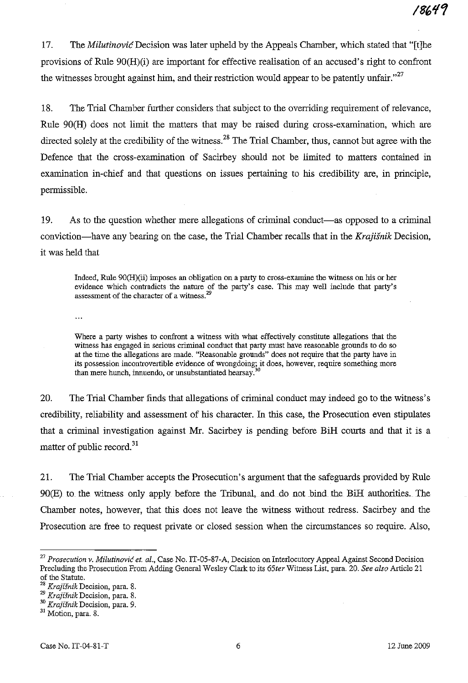17. The *Milutinovic* Decision was later upheld by the Appeals Chamber, which stated that "[t]he provisions of Rule 90(H)(i) are important for effective realisation of an accused's right to confront the witnesses brought against him, and their restriction would appear to be patently unfair. $^{27}$ 

18. The Trial Chamber further considers that subject to the overriding requirement of relevance, Rule 90(H) does not limit the matters that may be raised during cross-examination, which are directed solely at the credibility of the witness.<sup>28</sup> The Trial Chamber, thus, cannot but agree with the Defence that the cross-examination of Sacirbey should not be limited to matters contained in examination in-chief and that questions on issues pertaining to his credibility are, in principle, permissible.

19. As to the question whether mere allegations of criminal conduct—as opposed to a criminal conviction-have any bearing on the case, the Trial Chamber recalls that in the *Krajisnik* Decision, it was held that

Indeed, Rule 90(H)(ii) imposes an obligation on a party to cross-exanrine the witness on his or her evidence which contradicts the natnre of the party's case. This may well inclnde that party's **assessment of the character of a witness.<sup>29</sup>**

Where a party wishes to confront a witness with what effectively constitute allegations that the witness has engaged in serious criminal conduct that party must have reasonable grounds to do so at the time the allegations are made. "Reasonable grounds" does not require that the party have in **its possession incontrovertible evidence of wrongdoing; it does, however, require something more**  than mere hunch, innuendo, or unsubstantiated hearsay.<sup>30</sup>

20. The Trial Chamber finds that allegations of criminal conduct may indeed go to the witness's credibility, reliability and assessment of his character. In this case, the Prosecution even stipulates that a criminal investigation against Mr. Sacirbey is pending before BiH courts and that it is a matter of public record.<sup>31</sup>

21. The Trial Chamber accepts the Prosecution's argument that the safeguards provided by Rule 90(E) to the witness only apply before the Tribunal, and do not bind the BiH authorities. The Chamber notes, however, that this does not leave the witness without redress. Sacirbey and the Prosecution are free to request private or closed session when the circumstances so require. Also,

 $\ddotsc$ 

<sup>27</sup>*Prosecution v. Milutinovic et. al.,* Case No. IT-05-87-A, Decision on Interlocutory Appeal Against Second Decision Precluding the Prosecution From Adding General Wesley Clark to its *65ter* Witness List, para. 20. *See also* Article 21 of the Statute.

**<sup>28</sup>Krajisnik Decision, para. 8.** 

**<sup>29</sup> Krajisnik Decision, para. 8.** 

*<sup>30</sup>***Krajisnik Decision, para. 9.** 

<sup>&</sup>lt;sup>31</sup> Motion, para. 8.